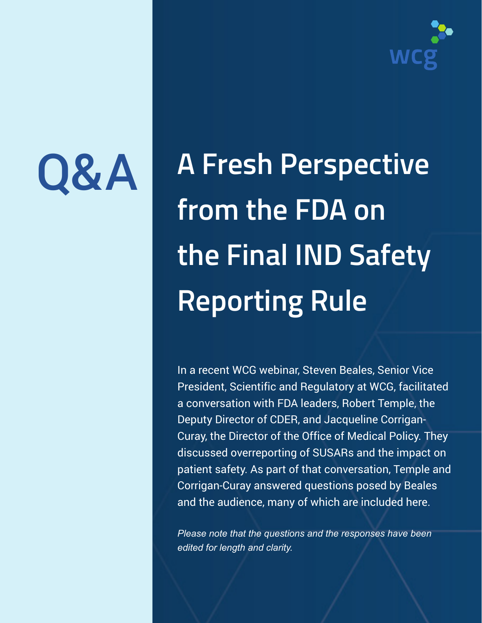

# Q&A

**A Fresh Perspective from the FDA on the Final IND Safety Reporting Rule**

In a recent WCG webinar, Steven Beales, Senior Vice President, Scientific and Regulatory at WCG, facilitated a conversation with FDA leaders, Robert Temple, the Deputy Director of CDER, and Jacqueline Corrigan-Curay, the Director of the Office of Medical Policy. They discussed overreporting of SUSARs and the impact on patient safety. As part of that conversation, Temple and Corrigan-Curay answered questions posed by Beales and the audience, many of which are included here.

*Please note that the questions and the responses have been edited for length and clarity.*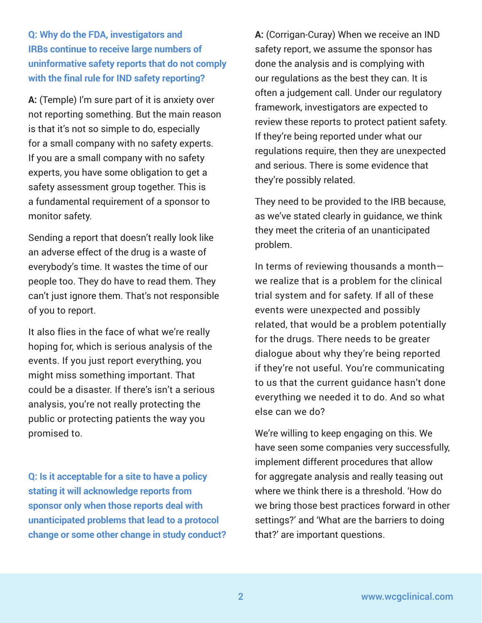**Q: Why do the FDA, investigators and IRBs continue to receive large numbers of uninformative safety reports that do not comply with the final rule for IND safety reporting?**

**A:** (Temple) I'm sure part of it is anxiety over not reporting something. But the main reason is that it's not so simple to do, especially for a small company with no safety experts. If you are a small company with no safety experts, you have some obligation to get a safety assessment group together. This is a fundamental requirement of a sponsor to monitor safety.

Sending a report that doesn't really look like an adverse effect of the drug is a waste of everybody's time. It wastes the time of our people too. They do have to read them. They can't just ignore them. That's not responsible of you to report.

It also flies in the face of what we're really hoping for, which is serious analysis of the events. If you just report everything, you might miss something important. That could be a disaster. If there's isn't a serious analysis, you're not really protecting the public or protecting patients the way you promised to.

**Q: Is it acceptable for a site to have a policy stating it will acknowledge reports from sponsor only when those reports deal with unanticipated problems that lead to a protocol change or some other change in study conduct?**  **A:** (Corrigan-Curay) When we receive an IND safety report, we assume the sponsor has done the analysis and is complying with our regulations as the best they can. It is often a judgement call. Under our regulatory framework, investigators are expected to review these reports to protect patient safety. If they're being reported under what our regulations require, then they are unexpected and serious. There is some evidence that they're possibly related.

They need to be provided to the IRB because, as we've stated clearly in guidance, we think they meet the criteria of an unanticipated problem.

In terms of reviewing thousands a month we realize that is a problem for the clinical trial system and for safety. If all of these events were unexpected and possibly related, that would be a problem potentially for the drugs. There needs to be greater dialogue about why they're being reported if they're not useful. You're communicating to us that the current guidance hasn't done everything we needed it to do. And so what else can we do?

We're willing to keep engaging on this. We have seen some companies very successfully, implement different procedures that allow for aggregate analysis and really teasing out where we think there is a threshold. 'How do we bring those best practices forward in other settings?' and 'What are the barriers to doing that?' are important questions.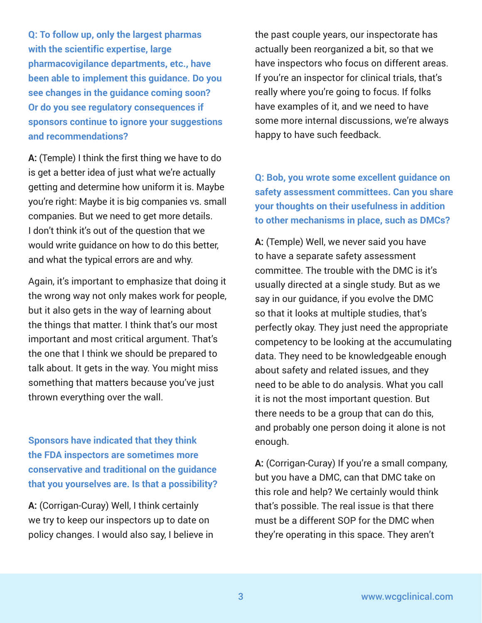**Q: To follow up, only the largest pharmas with the scientific expertise, large pharmacovigilance departments, etc., have been able to implement this guidance. Do you see changes in the guidance coming soon? Or do you see regulatory consequences if sponsors continue to ignore your suggestions and recommendations?**

**A:** (Temple) I think the first thing we have to do is get a better idea of just what we're actually getting and determine how uniform it is. Maybe you're right: Maybe it is big companies vs. small companies. But we need to get more details. I don't think it's out of the question that we would write guidance on how to do this better, and what the typical errors are and why.

Again, it's important to emphasize that doing it the wrong way not only makes work for people, but it also gets in the way of learning about the things that matter. I think that's our most important and most critical argument. That's the one that I think we should be prepared to talk about. It gets in the way. You might miss something that matters because you've just thrown everything over the wall.

**Sponsors have indicated that they think the FDA inspectors are sometimes more conservative and traditional on the guidance that you yourselves are. Is that a possibility?** 

**A:** (Corrigan-Curay) Well, I think certainly we try to keep our inspectors up to date on policy changes. I would also say, I believe in the past couple years, our inspectorate has actually been reorganized a bit, so that we have inspectors who focus on different areas. If you're an inspector for clinical trials, that's really where you're going to focus. If folks have examples of it, and we need to have some more internal discussions, we're always happy to have such feedback.

**Q: Bob, you wrote some excellent guidance on safety assessment committees. Can you share your thoughts on their usefulness in addition to other mechanisms in place, such as DMCs?** 

**A:** (Temple) Well, we never said you have to have a separate safety assessment committee. The trouble with the DMC is it's usually directed at a single study. But as we say in our guidance, if you evolve the DMC so that it looks at multiple studies, that's perfectly okay. They just need the appropriate competency to be looking at the accumulating data. They need to be knowledgeable enough about safety and related issues, and they need to be able to do analysis. What you call it is not the most important question. But there needs to be a group that can do this, and probably one person doing it alone is not enough.

**A:** (Corrigan-Curay) If you're a small company, but you have a DMC, can that DMC take on this role and help? We certainly would think that's possible. The real issue is that there must be a different SOP for the DMC when they're operating in this space. They aren't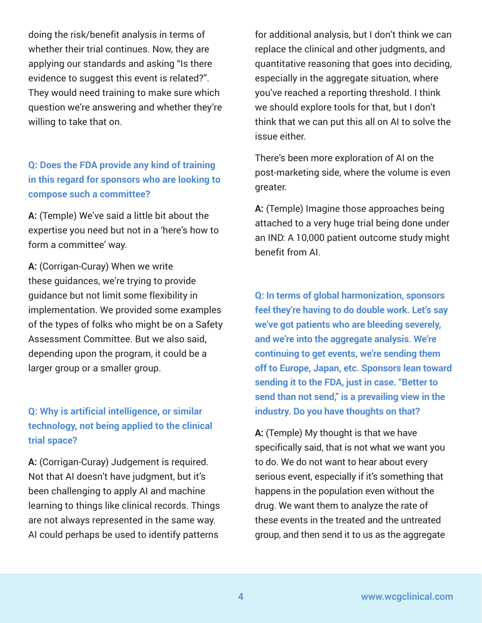doing the risk/benefit analysis in terms of whether their trial continues. Now, they are applying our standards and asking "Is there evidence to suggest this event is related?". They would need training to make sure which question we're answering and whether they're willing to take that on.

## **Q: Does the FDA provide any kind of training in this regard for sponsors who are looking to compose such a committee?**

**A:** (Temple) We've said a little bit about the expertise you need but not in a 'here's how to form a committee' way.

**A:** (Corrigan-Curay) When we write these guidances, we're trying to provide guidance but not limit some flexibility in implementation. We provided some examples of the types of folks who might be on a Safety Assessment Committee. But we also said, depending upon the program, it could be a larger group or a smaller group.

## **Q: Why is artificial intelligence, or similar technology, not being applied to the clinical trial space?**

**A:** (Corrigan-Curay) Judgement is required. Not that AI doesn't have judgment, but it's been challenging to apply AI and machine learning to things like clinical records. Things are not always represented in the same way. AI could perhaps be used to identify patterns

for additional analysis, but I don't think we can replace the clinical and other judgments, and quantitative reasoning that goes into deciding, especially in the aggregate situation, where you've reached a reporting threshold. I think we should explore tools for that, but I don't think that we can put this all on AI to solve the issue either.

There's been more exploration of AI on the post-marketing side, where the volume is even greater.

**A:** (Temple) Imagine those approaches being attached to a very huge trial being done under an IND: A 10,000 patient outcome study might benefit from AI.

**Q: In terms of global harmonization, sponsors feel they're having to do double work. Let's say we've got patients who are bleeding severely, and we're into the aggregate analysis. We're continuing to get events, we're sending them off to Europe, Japan, etc. Sponsors lean toward sending it to the FDA, just in case. "Better to send than not send," is a prevailing view in the industry. Do you have thoughts on that?**

**A:** (Temple) My thought is that we have specifically said, that is not what we want you to do. We do not want to hear about every serious event, especially if it's something that happens in the population even without the drug. We want them to analyze the rate of these events in the treated and the untreated group, and then send it to us as the aggregate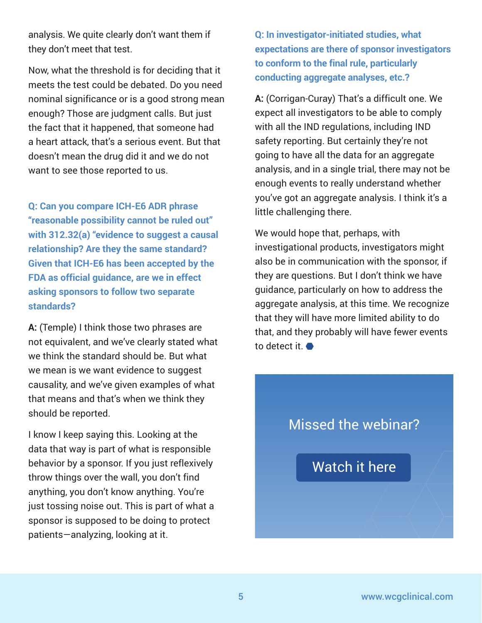analysis. We quite clearly don't want them if they don't meet that test.

Now, what the threshold is for deciding that it meets the test could be debated. Do you need nominal significance or is a good strong mean enough? Those are judgment calls. But just the fact that it happened, that someone had a heart attack, that's a serious event. But that doesn't mean the drug did it and we do not want to see those reported to us.

**Q: Can you compare ICH-E6 ADR phrase "reasonable possibility cannot be ruled out" with 312.32(a) "evidence to suggest a causal relationship? Are they the same standard? Given that ICH-E6 has been accepted by the FDA as official guidance, are we in effect asking sponsors to follow two separate standards?**

**A:** (Temple) I think those two phrases are not equivalent, and we've clearly stated what we think the standard should be. But what we mean is we want evidence to suggest causality, and we've given examples of what that means and that's when we think they should be reported.

I know I keep saying this. Looking at the data that way is part of what is responsible behavior by a sponsor. If you just reflexively throw things over the wall, you don't find anything, you don't know anything. You're just tossing noise out. This is part of what a sponsor is supposed to be doing to protect patients—analyzing, looking at it.

**Q: In investigator-initiated studies, what expectations are there of sponsor investigators to conform to the final rule, particularly conducting aggregate analyses, etc.?**

**A:** (Corrigan-Curay) That's a difficult one. We expect all investigators to be able to comply with all the IND regulations, including IND safety reporting. But certainly they're not going to have all the data for an aggregate analysis, and in a single trial, there may not be enough events to really understand whether you've got an aggregate analysis. I think it's a little challenging there.

We would hope that, perhaps, with investigational products, investigators might also be in communication with the sponsor, if they are questions. But I don't think we have guidance, particularly on how to address the aggregate analysis, at this time. We recognize that they will have more limited ability to do that, and they probably will have fewer events to detect it.

# Missed the webinar?

[Watch it here](https://www.wcgclinical.com/insights/videos/a-fresh-perspective-from-the-fda-on-the-final-ind-safety-reporting-rule)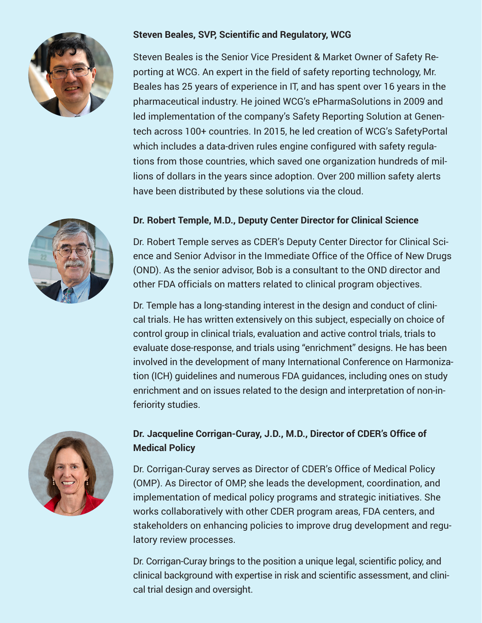

#### **Steven Beales, SVP, Scientific and Regulatory, WCG**

Steven Beales is the Senior Vice President & Market Owner of Safety Reporting at WCG. An expert in the field of safety reporting technology, Mr. Beales has 25 years of experience in IT, and has spent over 16 years in the pharmaceutical industry. He joined WCG's ePharmaSolutions in 2009 and led implementation of the company's Safety Reporting Solution at Genentech across 100+ countries. In 2015, he led creation of WCG's SafetyPortal which includes a data-driven rules engine configured with safety regulations from those countries, which saved one organization hundreds of millions of dollars in the years since adoption. Over 200 million safety alerts have been distributed by these solutions via the cloud.



Dr. Robert Temple serves as CDER's Deputy Center Director for Clinical Science and Senior Advisor in the Immediate Office of the Office of New Drugs (OND). As the senior advisor, Bob is a consultant to the OND director and other FDA officials on matters related to clinical program objectives.

Dr. Temple has a long-standing interest in the design and conduct of clinical trials. He has written extensively on this subject, especially on choice of control group in clinical trials, evaluation and active control trials, trials to evaluate dose-response, and trials using "enrichment" designs. He has been involved in the development of many International Conference on Harmonization (ICH) guidelines and numerous FDA guidances, including ones on study enrichment and on issues related to the design and interpretation of non-inferiority studies.



### **Dr. Jacqueline Corrigan-Curay, J.D., M.D., Director of CDER's Office of Medical Policy**

Dr. Corrigan-Curay serves as Director of CDER's Office of Medical Policy (OMP). As Director of OMP, she leads the development, coordination, and implementation of medical policy programs and strategic initiatives. She works collaboratively with other CDER program areas, FDA centers, and stakeholders on enhancing policies to improve drug development and regulatory review processes.

extending the companion of the companion of the companion of the companion of the companion of the companion o<br>The companion of the companion of the companion of the companion of the companion of the companion of the comp Dr. Corrigan-Curay brings to the position a unique legal, scientific policy, and clinical background with expertise in risk and scientific assessment, and clinical trial design and oversight.